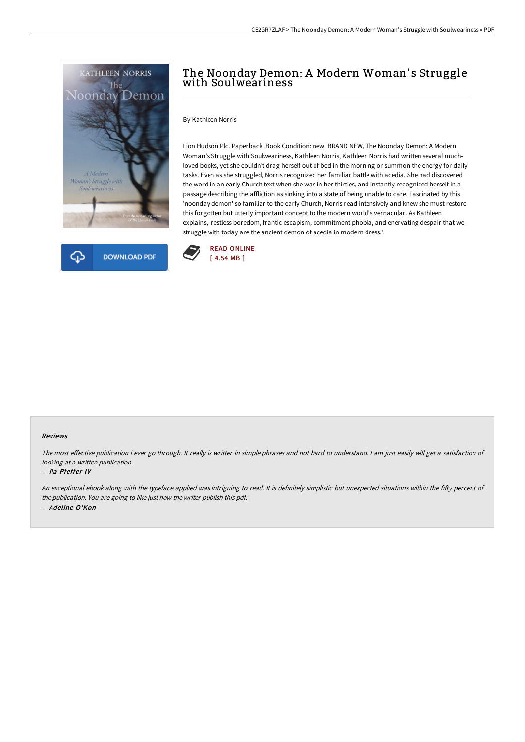



# The Noonday Demon: A Modern Woman' s Struggle with Soulweariness

By Kathleen Norris

Lion Hudson Plc. Paperback. Book Condition: new. BRAND NEW, The Noonday Demon: A Modern Woman's Struggle with Soulweariness, Kathleen Norris, Kathleen Norris had written several muchloved books, yet she couldn't drag herself out of bed in the morning or summon the energy for daily tasks. Even as she struggled, Norris recognized her familiar battle with acedia. She had discovered the word in an early Church text when she was in her thirties, and instantly recognized herself in a passage describing the affliction as sinking into a state of being unable to care. Fascinated by this 'noonday demon' so familiar to the early Church, Norris read intensively and knew she must restore this forgotten but utterly important concept to the modern world's vernacular. As Kathleen explains, 'restless boredom, frantic escapism, commitment phobia, and enervating despair that we struggle with today are the ancient demon of acedia in modern dress.'.



#### Reviews

The most effective publication i ever go through. It really is writter in simple phrases and not hard to understand. I am just easily will get a satisfaction of looking at <sup>a</sup> written publication.

#### -- Ila Pfeffer IV

An exceptional ebook along with the typeface applied was intriguing to read. It is definitely simplistic but unexpected situations within the fifty percent of the publication. You are going to like just how the writer publish this pdf. -- Adeline O'Kon